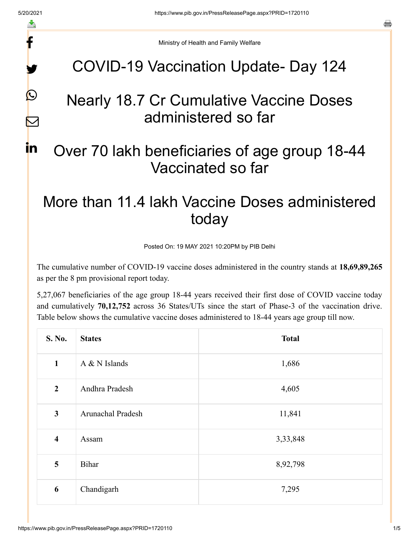f

y.

 $\boldsymbol{Q}$ 

 $\color{red} \nabla$ 

in

a

Ministry of Health and Family Welfare

### COVID-19 Vaccination Update- Day 124

# Nearly 18.7 Cr Cumulative Vaccine Doses administered so far

# Over 70 lakh beneficiaries of age group 18-44 Vaccinated so far

# More than 11.4 lakh Vaccine Doses administered today

Posted On: 19 MAY 2021 10:20PM by PIB Delhi

The cumulative number of COVID-19 vaccine doses administered in the country stands at **18,69,89,265** as per the 8 pm provisional report today.

5,27,067 beneficiaries of the age group 18-44 years received their first dose of COVID vaccine today and cumulatively **70,12,752** across 36 States/UTs since the start of Phase-3 of the vaccination drive. Table below shows the cumulative vaccine doses administered to 18-44 years age group till now.

| S. No.                  | <b>States</b>     | <b>Total</b> |
|-------------------------|-------------------|--------------|
| $\mathbf{1}$            | A & N Islands     | 1,686        |
| $\overline{2}$          | Andhra Pradesh    | 4,605        |
| $\mathbf{3}$            | Arunachal Pradesh | 11,841       |
| $\overline{\mathbf{4}}$ | Assam             | 3,33,848     |
| 5                       | <b>Bihar</b>      | 8,92,798     |
| 6                       | Chandigarh        | 7,295        |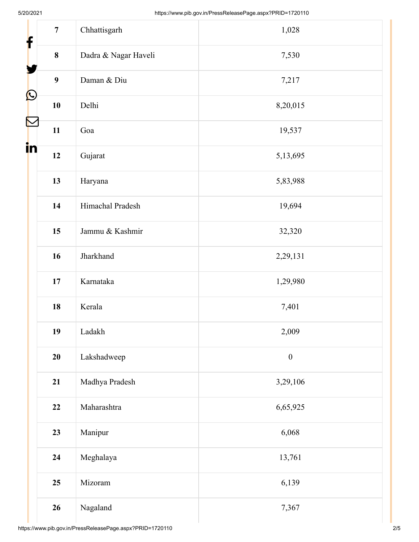| f          | $\overline{7}$   | Chhattisgarh         | 1,028            |  |
|------------|------------------|----------------------|------------------|--|
|            | $\pmb{8}$        | Dadra & Nagar Haveli | 7,530            |  |
|            | $\boldsymbol{9}$ | Daman & Diu          | 7,217            |  |
| $\bigcirc$ | ${\bf 10}$       | Delhi                | 8,20,015         |  |
|            | 11               | Goa                  | 19,537           |  |
| in         | 12               | Gujarat              | 5,13,695         |  |
|            | 13               | Haryana              | 5,83,988         |  |
|            | 14               | Himachal Pradesh     | 19,694           |  |
|            | 15               | Jammu & Kashmir      | 32,320           |  |
|            | 16               | Jharkhand            | 2,29,131         |  |
|            | $17\,$           | Karnataka            | 1,29,980         |  |
|            | 18               | Kerala               | 7,401            |  |
|            | 19               | Ladakh               | 2,009            |  |
|            | 20               | Lakshadweep          | $\boldsymbol{0}$ |  |
|            | 21               | Madhya Pradesh       | 3,29,106         |  |
|            | 22               | Maharashtra          | 6,65,925         |  |
|            | 23               | Manipur              | 6,068            |  |
|            | 24               | Meghalaya            | 13,761           |  |
|            | 25               | Mizoram              | 6,139            |  |
|            | 26               | Nagaland             | 7,367            |  |
|            |                  |                      |                  |  |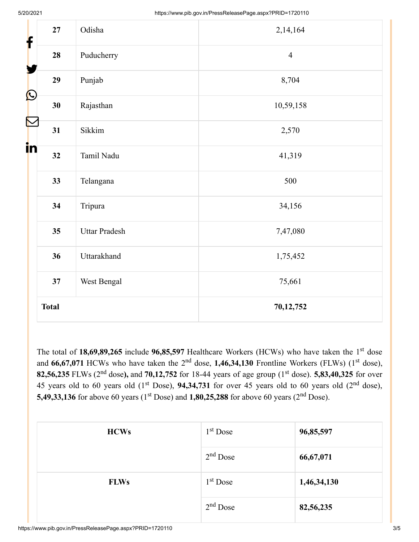| f                                 | 27           | Odisha               | 2,14,164       |
|-----------------------------------|--------------|----------------------|----------------|
| Y                                 | 28           | Puducherry           | $\overline{4}$ |
|                                   | 29           | Punjab               | 8,704          |
| $\boldsymbol{\mathsf{Q}}$         | 30           | Rajasthan            | 10,59,158      |
| $\color{red} \blacktriangleright$ | 31           | Sikkim               | 2,570          |
| i <mark>n</mark>                  | 32           | Tamil Nadu           | 41,319         |
|                                   | 33           | Telangana            | 500            |
|                                   | 34           | Tripura              | 34,156         |
|                                   | 35           | <b>Uttar Pradesh</b> | 7,47,080       |
|                                   | 36           | Uttarakhand          | 1,75,452       |
|                                   | 37           | West Bengal          | 75,661         |
|                                   | <b>Total</b> |                      | 70,12,752      |

The total of 18,69,89,265 include 96,85,597 Healthcare Workers (HCWs) who have taken the 1<sup>st</sup> dose and  $66,67,071$  HCWs who have taken the  $2<sup>nd</sup>$  dose,  $1,46,34,130$  Frontline Workers (FLWs) ( $1<sup>st</sup>$  dose), **82,56,235** FLWs (2<sup>nd</sup> dose), and **70,12,752** for 18-44 years of age group (1<sup>st</sup> dose). **5,83,40,325** for over 45 years old to 60 years old  $(1<sup>st</sup> Does), 94,34,731$  for over 45 years old to 60 years old  $(2<sup>nd</sup> dose),$ **5,49,33,136** for above 60 years (1<sup>st</sup> Dose) and **1,80,25,288** for above 60 years (2<sup>nd</sup> Dose).

| <b>HCWs</b> | $1st$ Dose | 96,85,597   |
|-------------|------------|-------------|
|             | $2nd$ Dose | 66,67,071   |
| <b>FLWs</b> | $1st$ Dose | 1,46,34,130 |
|             | $2nd$ Dose | 82,56,235   |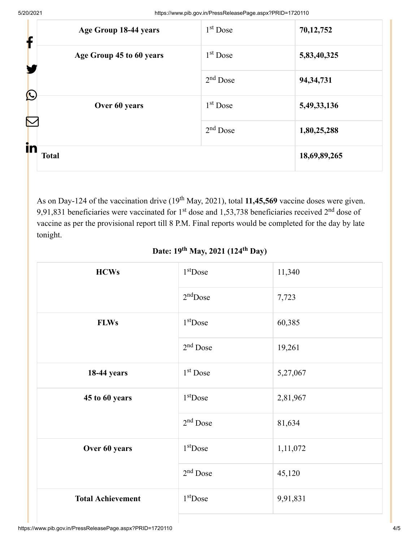| Age Group 18-44 years<br>f  | $1st$ Dose | 70,12,752    |
|-----------------------------|------------|--------------|
| Age Group 45 to 60 years    | $1st$ Dose | 5,83,40,325  |
|                             | $2nd$ Dose | 94, 34, 731  |
| $\bigcirc$<br>Over 60 years | $1st$ Dose | 5,49,33,136  |
| $\blacktriangleright$       | $2nd$ Dose | 1,80,25,288  |
| in<br><b>Total</b>          |            | 18,69,89,265 |

As on Day-124 of the vaccination drive (19<sup>th</sup> May, 2021), total 11,45,569 vaccine doses were given. 9,91,831 beneficiaries were vaccinated for  $1<sup>st</sup>$  dose and 1,53,738 beneficiaries received  $2<sup>nd</sup>$  dose of vaccine as per the provisional report till 8 P.M. Final reports would be completed for the day by late tonight.

| <b>HCWs</b>              | $1st$ Dose | 11,340   |
|--------------------------|------------|----------|
|                          | $2nd$ Dose | 7,723    |
| <b>FLWs</b>              | $1st$ Dose | 60,385   |
|                          | $2nd$ Dose | 19,261   |
| <b>18-44 years</b>       | $1st$ Dose | 5,27,067 |
| 45 to 60 years           | $1st$ Dose | 2,81,967 |
|                          | $2nd$ Dose | 81,634   |
| Over 60 years            | $1st$ Dose | 1,11,072 |
|                          | $2nd$ Dose | 45,120   |
| <b>Total Achievement</b> | $1st$ Dose | 9,91,831 |

### **Date: 19<sup>th</sup> May, 2021 (124<sup>th</sup> Day)**